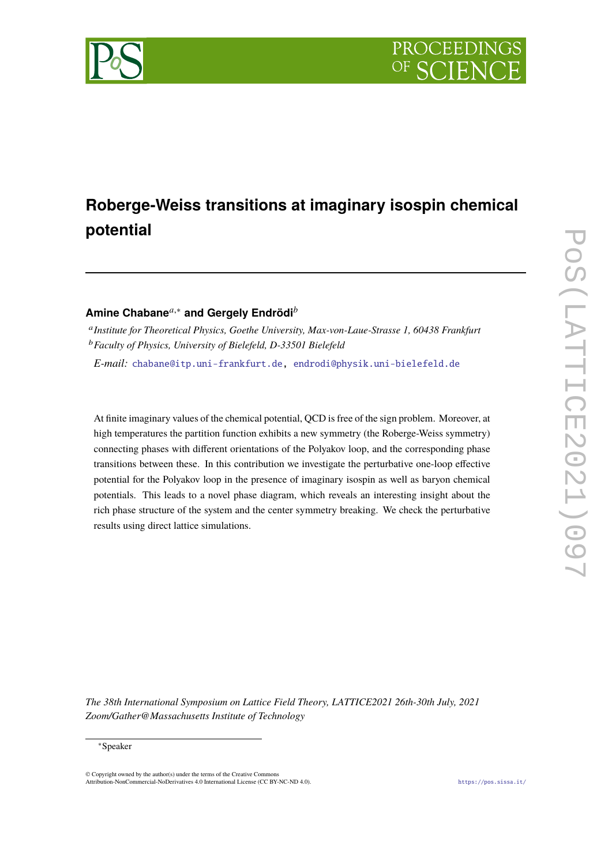

# **Roberge-Weiss transitions at imaginary isospin chemical potential**

## **Amine Chabane**<sup>*a*,∗</sup> and Gergely Endrödi<sup>*b*</sup>

<sup>a</sup> Institute for Theoretical Physics, Goethe University, Max-von-Laue-Strasse 1, 60438 Frankfurt <sup>𝑏</sup>*Faculty of Physics, University of Bielefeld, D-33501 Bielefeld*

*E-mail:* [chabane@itp.uni-frankfurt.de,](mailto:chabane@itp.uni-frankfurt.de) [endrodi@physik.uni-bielefeld.de](mailto:endrodi@physik.uni-bielefeld.de)

At finite imaginary values of the chemical potential, QCD is free of the sign problem. Moreover, at high temperatures the partition function exhibits a new symmetry (the Roberge-Weiss symmetry) connecting phases with different orientations of the Polyakov loop, and the corresponding phase transitions between these. In this contribution we investigate the perturbative one-loop effective potential for the Polyakov loop in the presence of imaginary isospin as well as baryon chemical potentials. This leads to a novel phase diagram, which reveals an interesting insight about the rich phase structure of the system and the center symmetry breaking. We check the perturbative results using direct lattice simulations.

*The 38th International Symposium on Lattice Field Theory, LATTICE2021 26th-30th July, 2021 Zoom/Gather@Massachusetts Institute of Technology*

### <sup>∗</sup>Speaker

 $\odot$  Copyright owned by the author(s) under the terms of the Creative Common Attribution-NonCommercial-NoDerivatives 4.0 International License (CC BY-NC-ND 4.0). <https://pos.sissa.it/>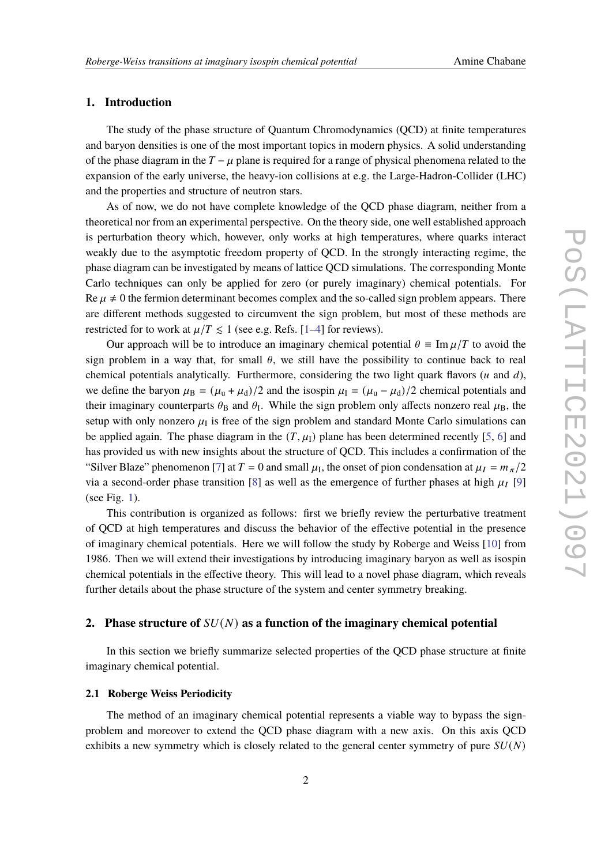### **1. Introduction**

The study of the phase structure of Quantum Chromodynamics (QCD) at finite temperatures and baryon densities is one of the most important topics in modern physics. A solid understanding of the phase diagram in the  $T - \mu$  plane is required for a range of physical phenomena related to the expansion of the early universe, the heavy-ion collisions at e.g. the Large-Hadron-Collider (LHC) and the properties and structure of neutron stars.

As of now, we do not have complete knowledge of the QCD phase diagram, neither from a theoretical nor from an experimental perspective. On the theory side, one well established approach is perturbation theory which, however, only works at high temperatures, where quarks interact weakly due to the asymptotic freedom property of QCD. In the strongly interacting regime, the phase diagram can be investigated by means of lattice QCD simulations. The corresponding Monte Carlo techniques can only be applied for zero (or purely imaginary) chemical potentials. For Re  $\mu \neq 0$  the fermion determinant becomes complex and the so-called sign problem appears. There are different methods suggested to circumvent the sign problem, but most of these methods are restricted for to work at  $\mu/T \leq 1$  (see e.g. Refs. [\[1](#page-7-0)[–4\]](#page-7-1) for reviews).

Our approach will be to introduce an imaginary chemical potential  $\theta \equiv \text{Im } \mu/T$  to avoid the sign problem in a way that, for small  $\theta$ , we still have the possibility to continue back to real chemical potentials analytically. Furthermore, considering the two light quark flavors ( $u$  and  $d$ ), we define the baryon  $\mu_B = (\mu_u + \mu_d)/2$  and the isospin  $\mu_I = (\mu_u - \mu_d)/2$  chemical potentials and their imaginary counterparts  $\theta_B$  and  $\theta_I$ . While the sign problem only affects nonzero real  $\mu_B$ , the setup with only nonzero  $\mu_I$  is free of the sign problem and standard Monte Carlo simulations can be applied again. The phase diagram in the  $(T, \mu_I)$  plane has been determined recently [\[5,](#page-7-2) [6\]](#page-7-3) and has provided us with new insights about the structure of QCD. This includes a confirmation of the "Silver Blaze" phenomenon [\[7\]](#page-8-0) at  $T = 0$  and small  $\mu_I$ , the onset of pion condensation at  $\mu_I = m_\pi/2$ via a second-order phase transition [\[8\]](#page-8-1) as well as the emergence of further phases at high  $\mu_I$  [\[9\]](#page-8-2) (see Fig. [1\)](#page-2-0).

This contribution is organized as follows: first we briefly review the perturbative treatment of QCD at high temperatures and discuss the behavior of the effective potential in the presence of imaginary chemical potentials. Here we will follow the study by Roberge and Weiss [\[10\]](#page-8-3) from 1986. Then we will extend their investigations by introducing imaginary baryon as well as isospin chemical potentials in the effective theory. This will lead to a novel phase diagram, which reveals further details about the phase structure of the system and center symmetry breaking.

### **2.** Phase structure of  $SU(N)$  as a function of the imaginary chemical potential

In this section we briefly summarize selected properties of the QCD phase structure at finite imaginary chemical potential.

### **2.1 Roberge Weiss Periodicity**

The method of an imaginary chemical potential represents a viable way to bypass the signproblem and moreover to extend the QCD phase diagram with a new axis. On this axis QCD exhibits a new symmetry which is closely related to the general center symmetry of pure  $SU(N)$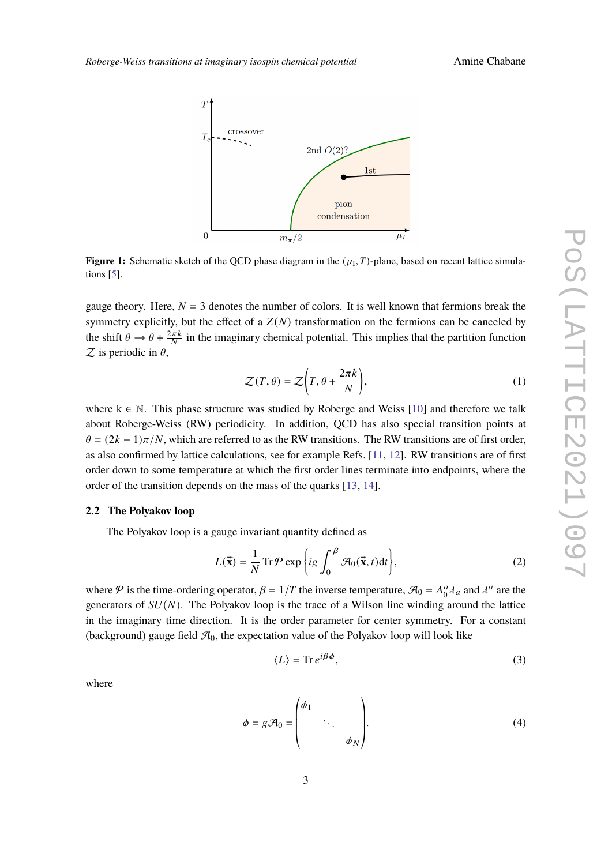<span id="page-2-0"></span>

**Figure 1:** Schematic sketch of the QCD phase diagram in the  $(\mu_1, T)$ -plane, based on recent lattice simulations [\[5\]](#page-7-2).

gauge theory. Here,  $N = 3$  denotes the number of colors. It is well known that fermions break the symmetry explicitly, but the effect of a  $Z(N)$  transformation on the fermions can be canceled by the shift  $\theta \to \theta + \frac{2\pi k}{N}$  in the imaginary chemical potential. This implies that the partition function  $Z$  is periodic in  $\theta$ ,

$$
\mathcal{Z}(T,\theta) = \mathcal{Z}\bigg(T,\theta + \frac{2\pi k}{N}\bigg),\tag{1}
$$

where  $k \in \mathbb{N}$ . This phase structure was studied by Roberge and Weiss [\[10\]](#page-8-3) and therefore we talk about Roberge-Weiss (RW) periodicity. In addition, QCD has also special transition points at  $\theta = (2k - 1)\pi/N$ , which are referred to as the RW transitions. The RW transitions are of first order, as also confirmed by lattice calculations, see for example Refs. [\[11,](#page-8-4) [12\]](#page-8-5). RW transitions are of first order down to some temperature at which the first order lines terminate into endpoints, where the order of the transition depends on the mass of the quarks [\[13,](#page-8-6) [14\]](#page-8-7).

### **2.2 The Polyakov loop**

The Polyakov loop is a gauge invariant quantity defined as

$$
L(\vec{\mathbf{x}}) = \frac{1}{N} \operatorname{Tr} \mathcal{P} \exp\left\{ ig \int_0^{\beta} \mathcal{A}_0(\vec{\mathbf{x}}, t) dt \right\},\tag{2}
$$

where  $P$  is the time-ordering operator,  $\beta = 1/T$  the inverse temperature,  $\mathcal{A}_0 = A_0^a$  $^{\alpha}_{0}\lambda_{a}$  and  $\lambda^{a}$  are the generators of  $SU(N)$ . The Polyakov loop is the trace of a Wilson line winding around the lattice in the imaginary time direction. It is the order parameter for center symmetry. For a constant (background) gauge field  $\mathcal{A}_0$ , the expectation value of the Polyakov loop will look like

<span id="page-2-1"></span>
$$
\langle L \rangle = \text{Tr} \, e^{i\beta \phi},\tag{3}
$$

where

$$
\phi = g\mathcal{A}_0 = \begin{pmatrix} \phi_1 & & \\ & \ddots & \\ & & \phi_N \end{pmatrix} . \tag{4}
$$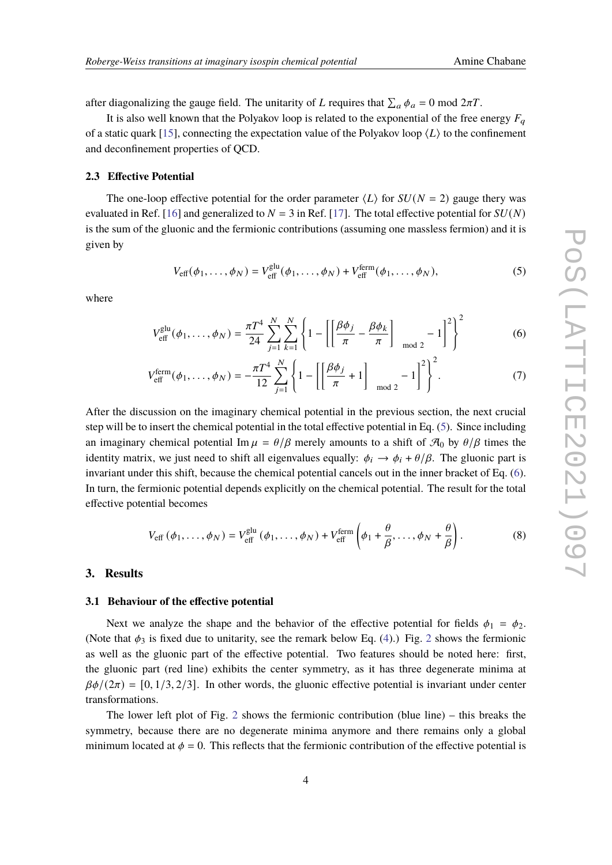after diagonalizing the gauge field. The unitarity of L requires that  $\sum_a \phi_a = 0$  mod  $2\pi T$ .

It is also well known that the Polyakov loop is related to the exponential of the free energy  $F_a$ of a static quark [\[15\]](#page-8-8), connecting the expectation value of the Polyakov loop  $\langle L \rangle$  to the confinement and deconfinement properties of QCD.

### **2.3 Effective Potential**

The one-loop effective potential for the order parameter  $\langle L \rangle$  for  $SU(N = 2)$  gauge thery was evaluated in Ref. [\[16\]](#page-8-9) and generalized to  $N = 3$  in Ref. [\[17\]](#page-8-10). The total effective potential for  $SU(N)$ is the sum of the gluonic and the fermionic contributions (assuming one massless fermion) and it is given by

<span id="page-3-1"></span><span id="page-3-0"></span>
$$
V_{\text{eff}}(\phi_1,\ldots,\phi_N) = V_{\text{eff}}^{\text{glu}}(\phi_1,\ldots,\phi_N) + V_{\text{eff}}^{\text{ferm}}(\phi_1,\ldots,\phi_N),\tag{5}
$$

where

$$
V_{\text{eff}}^{\text{glu}}(\phi_1, \dots, \phi_N) = \frac{\pi T^4}{24} \sum_{j=1}^N \sum_{k=1}^N \left\{ 1 - \left[ \left[ \frac{\beta \phi_j}{\pi} - \frac{\beta \phi_k}{\pi} \right]_{\text{mod } 2} - 1 \right]^2 \right\}^2 \tag{6}
$$

$$
V_{\text{eff}}^{\text{ferm}}(\phi_1, ..., \phi_N) = -\frac{\pi T^4}{12} \sum_{j=1}^N \left\{ 1 - \left[ \left[ \frac{\beta \phi_j}{\pi} + 1 \right]_{\text{mod } 2} - 1 \right]^2 \right\}^2.
$$
 (7)

After the discussion on the imaginary chemical potential in the previous section, the next crucial step will be to insert the chemical potential in the total effective potential in Eq. [\(5\)](#page-3-0). Since including an imaginary chemical potential Im  $\mu = \theta/\beta$  merely amounts to a shift of  $\mathcal{A}_0$  by  $\theta/\beta$  times the identity matrix, we just need to shift all eigenvalues equally:  $\phi_i \rightarrow \phi_i + \theta/\beta$ . The gluonic part is invariant under this shift, because the chemical potential cancels out in the inner bracket of Eq. [\(6\)](#page-3-1). In turn, the fermionic potential depends explicitly on the chemical potential. The result for the total effective potential becomes

$$
V_{\text{eff}}\left(\phi_{1},\ldots,\phi_{N}\right)=V_{\text{eff}}^{\text{glu}}\left(\phi_{1},\ldots,\phi_{N}\right)+V_{\text{eff}}^{\text{ferm}}\left(\phi_{1}+\frac{\theta}{\beta},\ldots,\phi_{N}+\frac{\theta}{\beta}\right). \tag{8}
$$

### **3. Results**

### **3.1 Behaviour of the effective potential**

Next we analyze the shape and the behavior of the effective potential for fields  $\phi_1 = \phi_2$ . (Note that  $\phi_3$  is fixed due to unitarity, see the remark below Eq. [\(4\)](#page-2-1).) Fig. [2](#page-4-0) shows the fermionic as well as the gluonic part of the effective potential. Two features should be noted here: first, the gluonic part (red line) exhibits the center symmetry, as it has three degenerate minima at  $\beta\phi/(2\pi) = [0, 1/3, 2/3]$ . In other words, the gluonic effective potential is invariant under center transformations.

The lower left plot of Fig. [2](#page-4-0) shows the fermionic contribution (blue line) – this breaks the symmetry, because there are no degenerate minima anymore and there remains only a global minimum located at  $\phi = 0$ . This reflects that the fermionic contribution of the effective potential is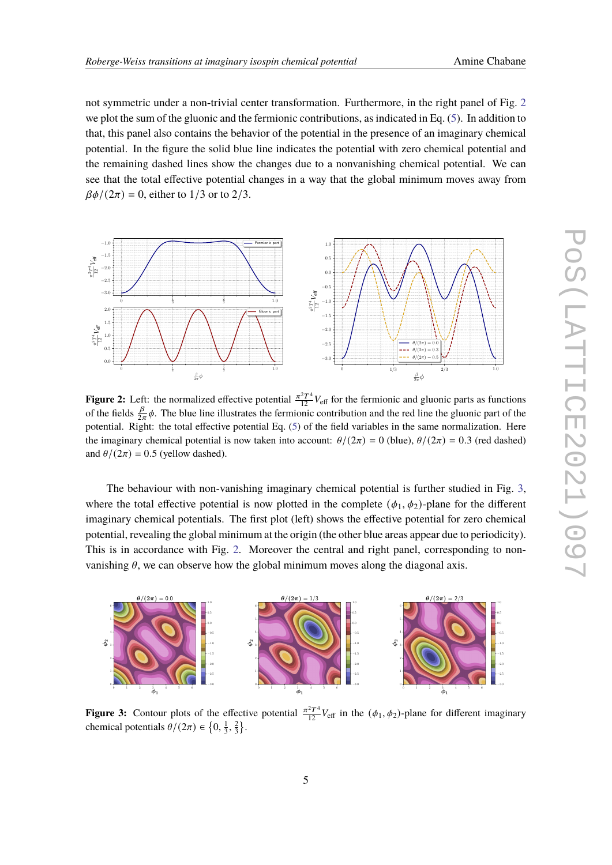not symmetric under a non-trivial center transformation. Furthermore, in the right panel of Fig. [2](#page-4-0) we plot the sum of the gluonic and the fermionic contributions, as indicated in Eq. [\(5\)](#page-3-0). In addition to that, this panel also contains the behavior of the potential in the presence of an imaginary chemical potential. In the figure the solid blue line indicates the potential with zero chemical potential and the remaining dashed lines show the changes due to a nonvanishing chemical potential. We can see that the total effective potential changes in a way that the global minimum moves away from  $\beta\phi/(2\pi) = 0$ , either to 1/3 or to 2/3.

<span id="page-4-0"></span>

**Figure 2:** Left: the normalized effective potential  $\frac{\pi^2 T^4}{12} V_{\text{eff}}$  for the fermionic and gluonic parts as functions of the fields  $\frac{\beta}{2\pi}\phi$ . The blue line illustrates the fermionic contribution and the red line the gluonic part of the potential. Right: the total effective potential Eq. [\(5\)](#page-3-0) of the field variables in the same normalization. Here the imaginary chemical potential is now taken into account:  $\theta/(2\pi) = 0$  (blue),  $\theta/(2\pi) = 0.3$  (red dashed) and  $\theta/(2\pi) = 0.5$  (yellow dashed).

The behaviour with non-vanishing imaginary chemical potential is further studied in Fig. [3,](#page-4-1) where the total effective potential is now plotted in the complete  $(\phi_1, \phi_2)$ -plane for the different imaginary chemical potentials. The first plot (left) shows the effective potential for zero chemical potential, revealing the global minimum at the origin (the other blue areas appear due to periodicity). This is in accordance with Fig. [2.](#page-4-0) Moreover the central and right panel, corresponding to nonvanishing  $\theta$ , we can observe how the global minimum moves along the diagonal axis.

<span id="page-4-1"></span>

**Figure 3:** Contour plots of the effective potential  $\frac{\pi^2 T^4}{12} V_{\text{eff}}$  in the  $(\phi_1, \phi_2)$ -plane for different imaginary chemical potentials  $\theta/(2\pi) \in \left\{0, \frac{1}{3}, \frac{2}{3}\right\}$ .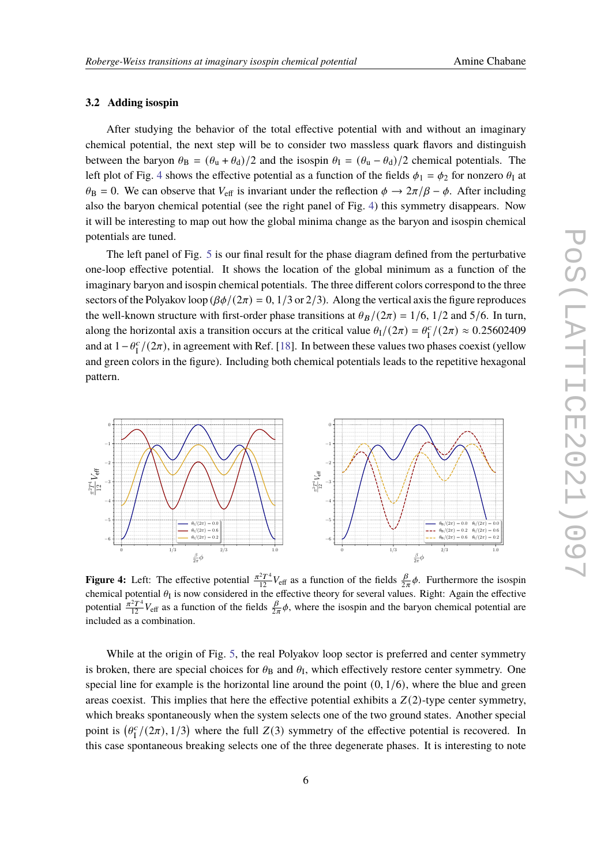### **3.2 Adding isospin**

After studying the behavior of the total effective potential with and without an imaginary chemical potential, the next step will be to consider two massless quark flavors and distinguish between the baryon  $\theta_B = (\theta_u + \theta_d)/2$  and the isospin  $\theta_I = (\theta_u - \theta_d)/2$  chemical potentials. The left plot of Fig. [4](#page-5-0) shows the effective potential as a function of the fields  $\phi_1 = \phi_2$  for nonzero  $\theta_1$  at  $\theta_B = 0$ . We can observe that  $V_{\text{eff}}$  is invariant under the reflection  $\phi \to 2\pi/\beta - \phi$ . After including also the baryon chemical potential (see the right panel of Fig. [4\)](#page-5-0) this symmetry disappears. Now it will be interesting to map out how the global minima change as the baryon and isospin chemical potentials are tuned.

The left panel of Fig. [5](#page-6-0) is our final result for the phase diagram defined from the perturbative one-loop effective potential. It shows the location of the global minimum as a function of the imaginary baryon and isospin chemical potentials. The three different colors correspond to the three sectors of the Polyakov loop  $(\beta \phi/(2\pi) = 0, 1/3 \text{ or } 2/3)$ . Along the vertical axis the figure reproduces the well-known structure with first-order phase transitions at  $\theta_B/(2\pi) = 1/6$ , 1/2 and 5/6. In turn, along the horizontal axis a transition occurs at the critical value  $\theta_I/(2\pi) = \theta_I^c$  $I_I^c/(2\pi) \approx 0.25602409$ and at  $1 - \theta_{I}^{c}$  $\frac{c}{\sqrt{1}}$  /(2 $\pi$ ), in agreement with Ref. [\[18\]](#page-8-11). In between these values two phases coexist (yellow and green colors in the figure). Including both chemical potentials leads to the repetitive hexagonal pattern.

<span id="page-5-0"></span>

**Figure 4:** Left: The effective potential  $\frac{\pi^2 T^4}{12} V_{\text{eff}}$  as a function of the fields  $\frac{\beta}{2\pi}\phi$ . Furthermore the isospin chemical potential  $\theta_I$  is now considered in the effective theory for several values. Right: Again the effective potential  $\frac{\pi^2 T^4}{12}V_{\text{eff}}$  as a function of the fields  $\frac{\beta}{2\pi}\phi$ , where the isospin and the baryon chemical potential are included as a combination.

While at the origin of Fig. [5,](#page-6-0) the real Polyakov loop sector is preferred and center symmetry is broken, there are special choices for  $\theta_B$  and  $\theta_I$ , which effectively restore center symmetry. One special line for example is the horizontal line around the point  $(0, 1/6)$ , where the blue and green areas coexist. This implies that here the effective potential exhibits a  $Z(2)$ -type center symmetry, which breaks spontaneously when the system selects one of the two ground states. Another special point is  $(\theta_{I}^{c})$  $I_I^c/(2\pi), 1/3$ ) where the full  $Z(3)$  symmetry of the effective potential is recovered. In this case spontaneous breaking selects one of the three degenerate phases. It is interesting to note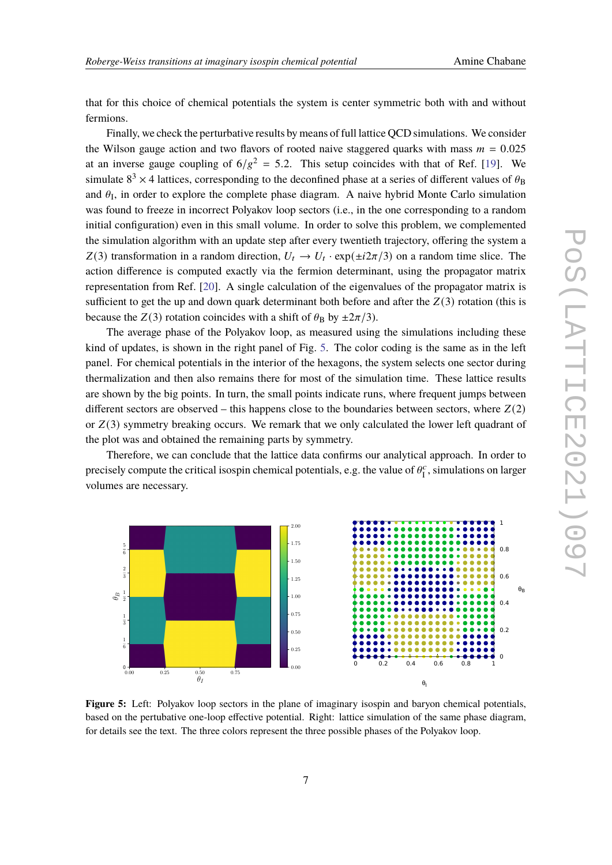that for this choice of chemical potentials the system is center symmetric both with and without fermions.

Finally, we check the perturbative results by means of full lattice QCD simulations. We consider the Wilson gauge action and two flavors of rooted naive staggered quarks with mass  $m = 0.025$ at an inverse gauge coupling of  $6/g^2 = 5.2$ . This setup coincides with that of Ref. [\[19\]](#page-8-12). We simulate  $8^3 \times 4$  lattices, corresponding to the deconfined phase at a series of different values of  $\theta_B$ and  $\theta_I$ , in order to explore the complete phase diagram. A naive hybrid Monte Carlo simulation was found to freeze in incorrect Polyakov loop sectors (i.e., in the one corresponding to a random initial configuration) even in this small volume. In order to solve this problem, we complemented the simulation algorithm with an update step after every twentieth trajectory, offering the system a Z(3) transformation in a random direction,  $U_t \rightarrow U_t \cdot \exp(\pm i2\pi/3)$  on a random time slice. The action difference is computed exactly via the fermion determinant, using the propagator matrix representation from Ref. [\[20\]](#page-8-13). A single calculation of the eigenvalues of the propagator matrix is sufficient to get the up and down quark determinant both before and after the  $Z(3)$  rotation (this is because the  $Z(3)$  rotation coincides with a shift of  $\theta_B$  by  $\pm 2\pi/3$ .

The average phase of the Polyakov loop, as measured using the simulations including these kind of updates, is shown in the right panel of Fig. [5.](#page-6-0) The color coding is the same as in the left panel. For chemical potentials in the interior of the hexagons, the system selects one sector during thermalization and then also remains there for most of the simulation time. These lattice results are shown by the big points. In turn, the small points indicate runs, where frequent jumps between different sectors are observed – this happens close to the boundaries between sectors, where  $Z(2)$ or  $Z(3)$  symmetry breaking occurs. We remark that we only calculated the lower left quadrant of the plot was and obtained the remaining parts by symmetry.

Therefore, we can conclude that the lattice data confirms our analytical approach. In order to precisely compute the critical isospin chemical potentials, e.g. the value of  $\theta_{\text{I}}^{\text{c}}$  $I_I^c$ , simulations on larger volumes are necessary.

<span id="page-6-0"></span>

**Figure 5:** Left: Polyakov loop sectors in the plane of imaginary isospin and baryon chemical potentials, based on the pertubative one-loop effective potential. Right: lattice simulation of the same phase diagram, for details see the text. The three colors represent the three possible phases of the Polyakov loop.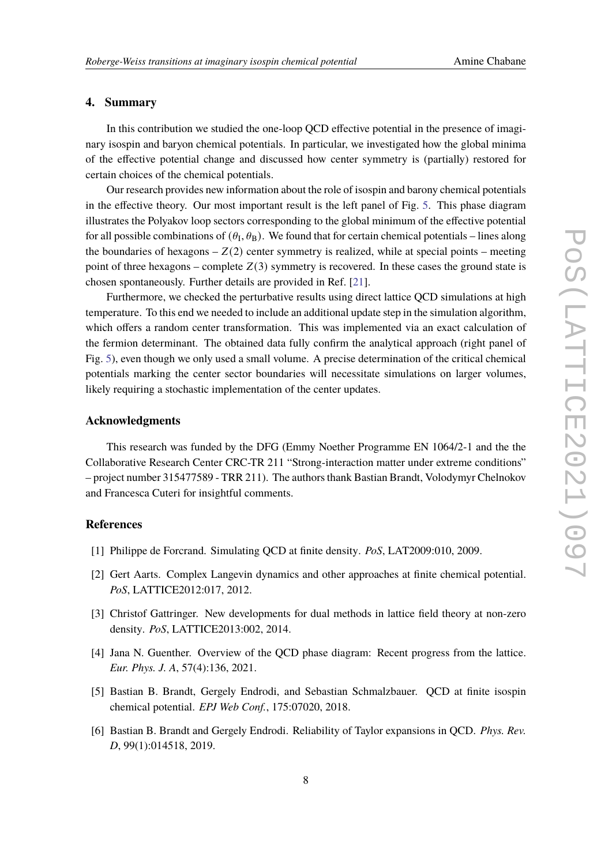### **4. Summary**

In this contribution we studied the one-loop QCD effective potential in the presence of imaginary isospin and baryon chemical potentials. In particular, we investigated how the global minima of the effective potential change and discussed how center symmetry is (partially) restored for certain choices of the chemical potentials.

Our research provides new information about the role of isospin and barony chemical potentials in the effective theory. Our most important result is the left panel of Fig. [5.](#page-6-0) This phase diagram illustrates the Polyakov loop sectors corresponding to the global minimum of the effective potential for all possible combinations of  $(\theta_I, \theta_B)$ . We found that for certain chemical potentials – lines along the boundaries of hexagons  $-Z(2)$  center symmetry is realized, while at special points – meeting point of three hexagons – complete  $Z(3)$  symmetry is recovered. In these cases the ground state is chosen spontaneously. Further details are provided in Ref. [\[21\]](#page-8-14).

Furthermore, we checked the perturbative results using direct lattice QCD simulations at high temperature. To this end we needed to include an additional update step in the simulation algorithm, which offers a random center transformation. This was implemented via an exact calculation of the fermion determinant. The obtained data fully confirm the analytical approach (right panel of Fig. [5\)](#page-6-0), even though we only used a small volume. A precise determination of the critical chemical potentials marking the center sector boundaries will necessitate simulations on larger volumes, likely requiring a stochastic implementation of the center updates.

### **Acknowledgments**

This research was funded by the DFG (Emmy Noether Programme EN 1064/2-1 and the the Collaborative Research Center CRC-TR 211 "Strong-interaction matter under extreme conditions" – project number 315477589 - TRR 211). The authors thank Bastian Brandt, Volodymyr Chelnokov and Francesca Cuteri for insightful comments.

### **References**

- <span id="page-7-0"></span>[1] Philippe de Forcrand. Simulating QCD at finite density. *PoS*, LAT2009:010, 2009.
- [2] Gert Aarts. Complex Langevin dynamics and other approaches at finite chemical potential. *PoS*, LATTICE2012:017, 2012.
- [3] Christof Gattringer. New developments for dual methods in lattice field theory at non-zero density. *PoS*, LATTICE2013:002, 2014.
- <span id="page-7-1"></span>[4] Jana N. Guenther. Overview of the QCD phase diagram: Recent progress from the lattice. *Eur. Phys. J. A*, 57(4):136, 2021.
- <span id="page-7-2"></span>[5] Bastian B. Brandt, Gergely Endrodi, and Sebastian Schmalzbauer. QCD at finite isospin chemical potential. *EPJ Web Conf.*, 175:07020, 2018.
- <span id="page-7-3"></span>[6] Bastian B. Brandt and Gergely Endrodi. Reliability of Taylor expansions in QCD. *Phys. Rev. D*, 99(1):014518, 2019.